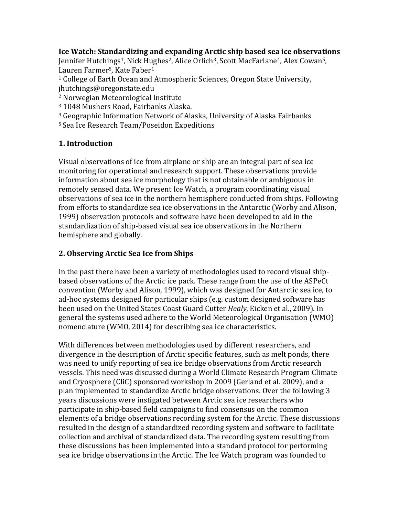# Ice Watch: Standardizing and expanding Arctic ship based sea ice observations

Jennifer Hutchings<sup>1</sup>, Nick Hughes<sup>2</sup>, Alice Orlich<sup>3</sup>, Scott MacFarlane<sup>4</sup>, Alex Cowan<sup>5</sup>, Lauren Farmer<sup>5</sup>, Kate Faber<sup>1</sup>

<sup>1</sup> College of Earth Ocean and Atmospheric Sciences, Oregon State University, jhutchings@oregonstate.edu

<sup>2</sup> Norwegian Meteorological Institute

<sup>3</sup> 1048 Mushers Road, Fairbanks Alaska.

<sup>4</sup> Geographic Information Network of Alaska, University of Alaska Fairbanks

<sup>5</sup> Sea Ice Research Team/Poseidon Expeditions

## 1. Introduction

Visual observations of ice from airplane or ship are an integral part of sea ice monitoring for operational and research support. These observations provide information about sea ice morphology that is not obtainable or ambiguous in remotely sensed data. We present Ice Watch, a program coordinating visual observations of sea ice in the northern hemisphere conducted from ships. Following from efforts to standardize sea ice observations in the Antarctic (Worby and Alison, 1999) observation protocols and software have been developed to aid in the standardization of ship-based visual sea ice observations in the Northern hemisphere and globally.

# 2. Observing Arctic Sea Ice from Ships

In the past there have been a variety of methodologies used to record visual shipbased observations of the Arctic ice pack. These range from the use of the ASPeCt convention (Worby and Alison, 1999), which was designed for Antarctic sea ice, to ad-hoc systems designed for particular ships (e.g. custom designed software has been used on the United States Coast Guard Cutter Healy, Eicken et al., 2009). In general the systems used adhere to the World Meteorological Organisation (WMO) nomenclature (WMO, 2014) for describing sea ice characteristics.

With differences between methodologies used by different researchers, and divergence in the description of Arctic specific features, such as melt ponds, there was need to unify reporting of sea ice bridge observations from Arctic research vessels. This need was discussed during a World Climate Research Program Climate and Cryosphere (CliC) sponsored workshop in 2009 (Gerland et al. 2009), and a plan implemented to standardize Arctic bridge observations. Over the following 3 years discussions were instigated between Arctic sea ice researchers who participate in ship-based field campaigns to find consensus on the common elements of a bridge observations recording system for the Arctic. These discussions resulted in the design of a standardized recording system and software to facilitate collection and archival of standardized data. The recording system resulting from these discussions has been implemented into a standard protocol for performing sea ice bridge observations in the Arctic. The Ice Watch program was founded to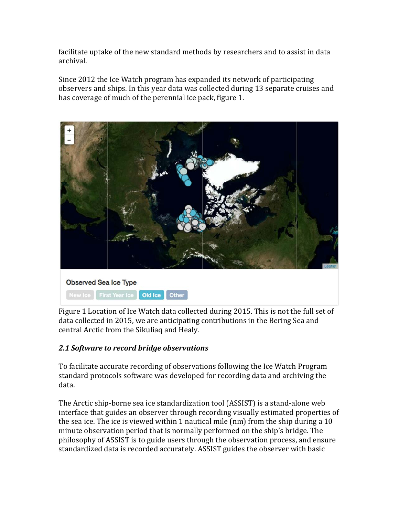facilitate uptake of the new standard methods by researchers and to assist in data archival.

Since 2012 the Ice Watch program has expanded its network of participating observers and ships. In this year data was collected during 13 separate cruises and has coverage of much of the perennial ice pack, figure 1.



Figure 1 Location of Ice Watch data collected during 2015. This is not the full set of data collected in 2015, we are anticipating contributions in the Bering Sea and central Arctic from the Sikuliaq and Healy.

# 2.1 Software to record bridge observations

To facilitate accurate recording of observations following the Ice Watch Program standard protocols software was developed for recording data and archiving the data.

The Arctic ship-borne sea ice standardization tool (ASSIST) is a stand-alone web interface that guides an observer through recording visually estimated properties of the sea ice. The ice is viewed within 1 nautical mile (nm) from the ship during a 10 minute observation period that is normally performed on the ship's bridge. The philosophy of ASSIST is to guide users through the observation process, and ensure standardized data is recorded accurately. ASSIST guides the observer with basic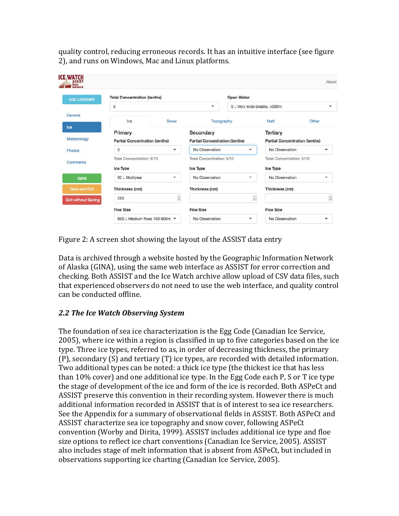quality control, reducing erroneous records. It has an intuitive interface (see figure 2), and runs on Windows, Mac and Linux platforms.

| <b>Add Comment</b>         | <b>Total Concentration (tenths)</b>   |                                                                                            |                                       | <b>Open Water</b>                                                      |                                       |                      |
|----------------------------|---------------------------------------|--------------------------------------------------------------------------------------------|---------------------------------------|------------------------------------------------------------------------|---------------------------------------|----------------------|
|                            | 5                                     |                                                                                            | ۰                                     |                                                                        | 5 :: Very wide breaks, >500m          |                      |
| General                    | Ice                                   | Snow                                                                                       |                                       | Topography                                                             | Melt                                  | Other                |
| Ice                        | Primary                               |                                                                                            | Secondary                             |                                                                        | <b>Tertiary</b>                       |                      |
| Meteorology                | <b>Partial Concentration (tenths)</b> |                                                                                            | <b>Partial Concentration (tenths)</b> |                                                                        | <b>Partial Concentration (tenths)</b> |                      |
| Photos                     | 5                                     | $\blacktriangledown$                                                                       | No Observation                        | $\overline{\mathbf{v}}$                                                | No Observation                        | $\checkmark$         |
| <b>Comments</b>            | Total Concentration: 5/10             |                                                                                            | Total Concentration: 5/10             |                                                                        | Total Concentration: 5/10             |                      |
|                            | Ice Type                              |                                                                                            | <b>Ice Type</b>                       |                                                                        | <b>Ice Type</b>                       |                      |
| Save                       | 85 :: Multiyear                       | $\boldsymbol{\mathrm{v}}$                                                                  | No Observation                        | $\mathbf{v}$                                                           | No Observation                        | ▼                    |
| Save and Exit              | Thickness (cm)                        |                                                                                            | Thickness (cm)                        |                                                                        | Thickness (cm)                        |                      |
| <b>Exit without Saving</b> | 250                                   | $\left[\begin{smallmatrix}\widehat{\bullet} \\ \widehat{\bullet} \end{smallmatrix}\right]$ |                                       | $\left[\begin{smallmatrix} \bullet\\ \bullet \end{smallmatrix}\right]$ |                                       |                      |
|                            | <b>Floe Size</b>                      |                                                                                            | <b>Floe Size</b>                      |                                                                        | <b>Floe Size</b>                      |                      |
|                            | 600 :: Medium floes 100-500m -        |                                                                                            | No Observation                        | $\mathbf{v}$                                                           | No Observation                        | $\blacktriangledown$ |

Figure 2: A screen shot showing the layout of the ASSIST data entry

Data is archived through a website hosted by the Geographic Information Network of Alaska (GINA), using the same web interface as ASSIST for error correction and checking. Both ASSIST and the Ice Watch archive allow upload of CSV data files, such that experienced observers do not need to use the web interface, and quality control can be conducted offline.

# 2.2 The Ice Watch Observing System

The foundation of sea ice characterization is the Egg Code (Canadian Ice Service, 2005), where ice within a region is classified in up to five categories based on the ice type. Three ice types, referred to as, in order of decreasing thickness, the primary (P), secondary (S) and tertiary (T) ice types, are recorded with detailed information. Two additional types can be noted: a thick ice type (the thickest ice that has less than 10% cover) and one additional ice type. In the Egg Code each P, S or T ice type the stage of development of the ice and form of the ice is recorded. Both ASPeCt and ASSIST preserve this convention in their recording system. However there is much additional information recorded in ASSIST that is of interest to sea ice researchers. See the Appendix for a summary of observational fields in ASSIST. Both ASPeCt and ASSIST characterize sea ice topography and snow cover, following ASPeCt convention (Worby and Dirita, 1999). ASSIST includes additional ice type and floe size options to reflect ice chart conventions (Canadian Ice Service, 2005). ASSIST also includes stage of melt information that is absent from ASPeCt, but included in observations supporting ice charting (Canadian Ice Service, 2005).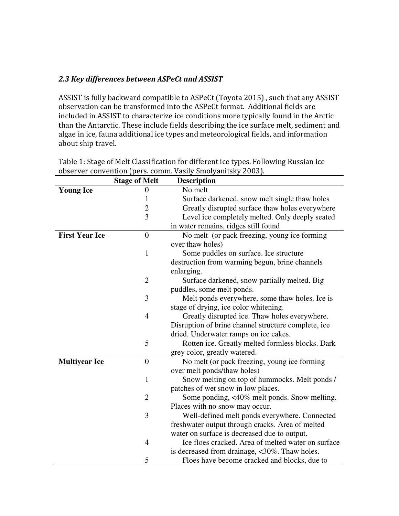## 2.3 Key differences between ASPeCt and ASSIST

ASSIST is fully backward compatible to ASPeCt (Toyota 2015) , such that any ASSIST observation can be transformed into the ASPeCt format. Additional fields are included in ASSIST to characterize ice conditions more typically found in the Arctic than the Antarctic. These include fields describing the ice surface melt, sediment and algae in ice, fauna additional ice types and meteorological fields, and information about ship travel.

|                       | <b>Stage of Melt</b> | <b>Description</b>                                  |
|-----------------------|----------------------|-----------------------------------------------------|
| <b>Young Ice</b>      | $\theta$             | No melt                                             |
|                       | 1                    | Surface darkened, snow melt single thaw holes       |
|                       | $\overline{2}$       | Greatly disrupted surface thaw holes everywhere     |
|                       | $\overline{3}$       | Level ice completely melted. Only deeply seated     |
|                       |                      | in water remains, ridges still found                |
| <b>First Year Ice</b> | $\overline{0}$       | No melt (or pack freezing, young ice forming        |
|                       |                      | over thaw holes)                                    |
|                       | $\mathbf{1}$         | Some puddles on surface. Ice structure              |
|                       |                      | destruction from warming begun, brine channels      |
|                       |                      | enlarging.                                          |
|                       | $\overline{2}$       | Surface darkened, snow partially melted. Big        |
|                       |                      | puddles, some melt ponds.                           |
|                       | 3                    | Melt ponds everywhere, some thaw holes. Ice is      |
|                       |                      | stage of drying, ice color whitening.               |
|                       | $\overline{4}$       | Greatly disrupted ice. Thaw holes everywhere.       |
|                       |                      | Disruption of brine channel structure complete, ice |
|                       |                      | dried. Underwater ramps on ice cakes.               |
|                       | 5                    | Rotten ice. Greatly melted formless blocks. Dark    |
|                       |                      | grey color, greatly watered.                        |
| <b>Multiyear Ice</b>  | $\overline{0}$       | No melt (or pack freezing, young ice forming        |
|                       |                      | over melt ponds/thaw holes)                         |
|                       | $\mathbf{1}$         | Snow melting on top of hummocks. Melt ponds /       |
|                       |                      | patches of wet snow in low places.                  |
|                       | $\overline{2}$       | Some ponding, <40% melt ponds. Snow melting.        |
|                       |                      | Places with no snow may occur.                      |
|                       | 3                    | Well-defined melt ponds everywhere. Connected       |
|                       |                      | freshwater output through cracks. Area of melted    |
|                       |                      | water on surface is decreased due to output.        |
|                       | $\overline{4}$       | Ice floes cracked. Area of melted water on surface  |
|                       |                      | is decreased from drainage, <30%. Thaw holes.       |
|                       | 5                    | Floes have become cracked and blocks, due to        |

Table 1: Stage of Melt Classification for different ice types. Following Russian ice observer convention (pers. comm. Vasily Smolyanitsky 2003).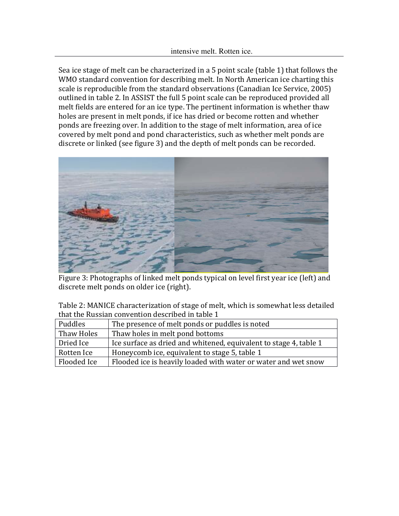Sea ice stage of melt can be characterized in a 5 point scale (table 1) that follows the WMO standard convention for describing melt. In North American ice charting this scale is reproducible from the standard observations (Canadian Ice Service, 2005) outlined in table 2. In ASSIST the full 5 point scale can be reproduced provided all melt fields are entered for an ice type. The pertinent information is whether thaw holes are present in melt ponds, if ice has dried or become rotten and whether ponds are freezing over. In addition to the stage of melt information, area of ice covered by melt pond and pond characteristics, such as whether melt ponds are discrete or linked (see figure 3) and the depth of melt ponds can be recorded.



Figure 3: Photographs of linked melt ponds typical on level first year ice (left) and discrete melt ponds on older ice (right).

| Table 2: MANICE characterization of stage of melt, which is somewhat less detailed |
|------------------------------------------------------------------------------------|
| that the Russian convention described in table 1                                   |

| Puddles     | The presence of melt ponds or puddles is noted                    |
|-------------|-------------------------------------------------------------------|
| Thaw Holes  | Thaw holes in melt pond bottoms                                   |
| Dried Ice   | Ice surface as dried and whitened, equivalent to stage 4, table 1 |
| Rotten Ice  | Honeycomb ice, equivalent to stage 5, table 1                     |
| Flooded Ice | Flooded ice is heavily loaded with water or water and wet snow    |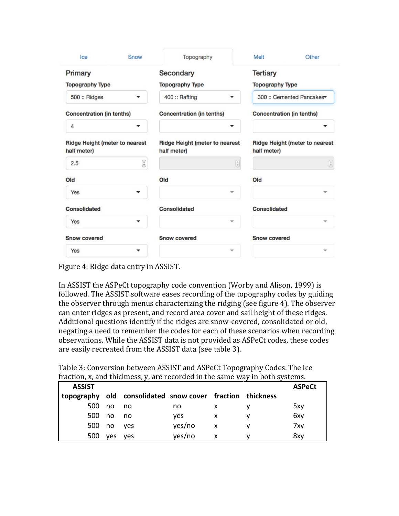| Ice                                                  | Snow | Topography                                           |                            | Melt                                                 | Other                                                               |
|------------------------------------------------------|------|------------------------------------------------------|----------------------------|------------------------------------------------------|---------------------------------------------------------------------|
| Primary                                              |      | <b>Secondary</b>                                     |                            | <b>Tertiary</b>                                      |                                                                     |
| <b>Topography Type</b>                               |      | <b>Topography Type</b>                               |                            | <b>Topography Type</b>                               |                                                                     |
| 500 :: Ridges                                        | ▼    | 400 :: Rafting<br>▼                                  |                            | 300 :: Cemented Pancakes                             |                                                                     |
| <b>Concentration (in tenths)</b>                     |      | <b>Concentration (in tenths)</b>                     |                            | <b>Concentration (in tenths)</b>                     |                                                                     |
| 4                                                    | ▼    |                                                      | ▼                          |                                                      |                                                                     |
| <b>Ridge Height (meter to nearest</b><br>half meter) |      | <b>Ridge Height (meter to nearest</b><br>half meter) |                            | <b>Ridge Height (meter to nearest</b><br>half meter) |                                                                     |
| 2.5                                                  | €    |                                                      | $\left(\frac{a}{r}\right)$ |                                                      | $\left(\begin{matrix} \mathbf{r} \\ \mathbf{r} \end{matrix}\right)$ |
| Old                                                  |      | Old                                                  |                            | Old                                                  |                                                                     |
| Yes                                                  | ▼    |                                                      | $\overline{\phantom{a}}$   |                                                      | v                                                                   |
| <b>Consolidated</b>                                  |      | <b>Consolidated</b>                                  |                            | <b>Consolidated</b>                                  |                                                                     |
| <b>Yes</b>                                           | ▼    |                                                      | v                          |                                                      |                                                                     |
| <b>Snow covered</b>                                  |      | <b>Snow covered</b>                                  |                            | <b>Snow covered</b>                                  |                                                                     |
| Yes                                                  | ┳    |                                                      | $\overline{\phantom{a}}$   |                                                      |                                                                     |

Figure 4: Ridge data entry in ASSIST.

In ASSIST the ASPeCt topography code convention (Worby and Alison, 1999) is followed. The ASSIST software eases recording of the topography codes by guiding the observer through menus characterizing the ridging (see figure 4). The observer can enter ridges as present, and record area cover and sail height of these ridges. Additional questions identify if the ridges are snow-covered, consolidated or old, negating a need to remember the codes for each of these scenarios when recording observations. While the ASSIST data is not provided as ASPeCt codes, these codes are easily recreated from the ASSIST data (see table 3).

Table 3: Conversion between ASSIST and ASPeCt Topography Codes. The ice fraction, x, and thickness, y, are recorded in the same way in both systems.

| <b>ASSIST</b> |            |                                                           |        |   | <b>ASPeCt</b> |
|---------------|------------|-----------------------------------------------------------|--------|---|---------------|
|               |            | topography old consolidated snow cover fraction thickness |        |   |               |
| 500           | no         | no no                                                     | no     |   | 5xy           |
| 500 no        |            | no no                                                     | ves    | X | 6xy           |
|               | 500 no yes |                                                           | yes/no | X | 7xy           |
| 500           | ves        | ves                                                       | yes/no |   | 8xy           |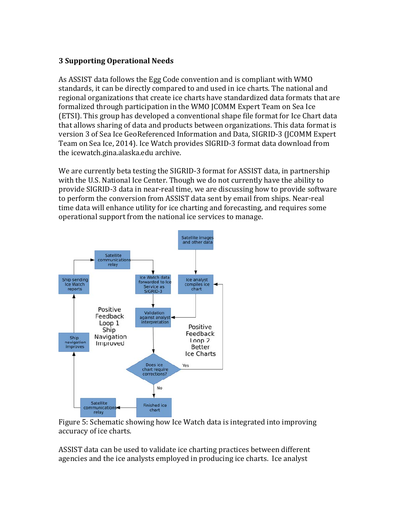## 3 Supporting Operational Needs

As ASSIST data follows the Egg Code convention and is compliant with WMO standards, it can be directly compared to and used in ice charts. The national and regional organizations that create ice charts have standardized data formats that are formalized through participation in the WMO JCOMM Expert Team on Sea Ice (ETSI). This group has developed a conventional shape file format for Ice Chart data that allows sharing of data and products between organizations. This data format is version 3 of Sea Ice GeoReferenced Information and Data, SIGRID-3 (JCOMM Expert Team on Sea Ice, 2014). Ice Watch provides SIGRID-3 format data download from the icewatch.gina.alaska.edu archive.

We are currently beta testing the SIGRID-3 format for ASSIST data, in partnership with the U.S. National Ice Center. Though we do not currently have the ability to provide SIGRID-3 data in near-real time, we are discussing how to provide software to perform the conversion from ASSIST data sent by email from ships. Near-real time data will enhance utility for ice charting and forecasting, and requires some operational support from the national ice services to manage.



Figure 5: Schematic showing how Ice Watch data is integrated into improving accuracy of ice charts.

ASSIST data can be used to validate ice charting practices between different agencies and the ice analysts employed in producing ice charts. Ice analyst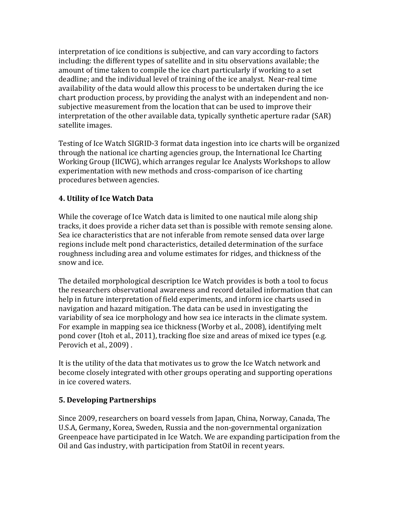interpretation of ice conditions is subjective, and can vary according to factors including: the different types of satellite and in situ observations available; the amount of time taken to compile the ice chart particularly if working to a set deadline; and the individual level of training of the ice analyst. Near-real time availability of the data would allow this process to be undertaken during the ice chart production process, by providing the analyst with an independent and nonsubjective measurement from the location that can be used to improve their interpretation of the other available data, typically synthetic aperture radar (SAR) satellite images.

Testing of Ice Watch SIGRID-3 format data ingestion into ice charts will be organized through the national ice charting agencies group, the International Ice Charting Working Group (IICWG), which arranges regular Ice Analysts Workshops to allow experimentation with new methods and cross-comparison of ice charting procedures between agencies.

# 4. Utility of Ice Watch Data

While the coverage of Ice Watch data is limited to one nautical mile along ship tracks, it does provide a richer data set than is possible with remote sensing alone. Sea ice characteristics that are not inferable from remote sensed data over large regions include melt pond characteristics, detailed determination of the surface roughness including area and volume estimates for ridges, and thickness of the snow and ice.

The detailed morphological description Ice Watch provides is both a tool to focus the researchers observational awareness and record detailed information that can help in future interpretation of field experiments, and inform ice charts used in navigation and hazard mitigation. The data can be used in investigating the variability of sea ice morphology and how sea ice interacts in the climate system. For example in mapping sea ice thickness (Worby et al., 2008), identifying melt pond cover (Itoh et al., 2011), tracking floe size and areas of mixed ice types (e.g. Perovich et al., 2009) .

It is the utility of the data that motivates us to grow the Ice Watch network and become closely integrated with other groups operating and supporting operations in ice covered waters.

# 5. Developing Partnerships

Since 2009, researchers on board vessels from Japan, China, Norway, Canada, The U.S.A, Germany, Korea, Sweden, Russia and the non-governmental organization Greenpeace have participated in Ice Watch. We are expanding participation from the Oil and Gas industry, with participation from StatOil in recent years.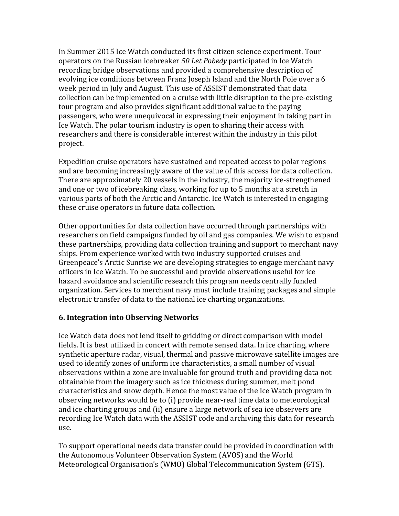In Summer 2015 Ice Watch conducted its first citizen science experiment. Tour operators on the Russian icebreaker 50 Let Pobedy participated in Ice Watch recording bridge observations and provided a comprehensive description of evolving ice conditions between Franz Joseph Island and the North Pole over a 6 week period in July and August. This use of ASSIST demonstrated that data collection can be implemented on a cruise with little disruption to the pre-existing tour program and also provides significant additional value to the paying passengers, who were unequivocal in expressing their enjoyment in taking part in Ice Watch. The polar tourism industry is open to sharing their access with researchers and there is considerable interest within the industry in this pilot project.

Expedition cruise operators have sustained and repeated access to polar regions and are becoming increasingly aware of the value of this access for data collection. There are approximately 20 vessels in the industry, the majority ice-strengthened and one or two of icebreaking class, working for up to 5 months at a stretch in various parts of both the Arctic and Antarctic. Ice Watch is interested in engaging these cruise operators in future data collection.

Other opportunities for data collection have occurred through partnerships with researchers on field campaigns funded by oil and gas companies. We wish to expand these partnerships, providing data collection training and support to merchant navy ships. From experience worked with two industry supported cruises and Greenpeace's Arctic Sunrise we are developing strategies to engage merchant navy officers in Ice Watch. To be successful and provide observations useful for ice hazard avoidance and scientific research this program needs centrally funded organization. Services to merchant navy must include training packages and simple electronic transfer of data to the national ice charting organizations.

### 6. Integration into Observing Networks

Ice Watch data does not lend itself to gridding or direct comparison with model fields. It is best utilized in concert with remote sensed data. In ice charting, where synthetic aperture radar, visual, thermal and passive microwave satellite images are used to identify zones of uniform ice characteristics, a small number of visual observations within a zone are invaluable for ground truth and providing data not obtainable from the imagery such as ice thickness during summer, melt pond characteristics and snow depth. Hence the most value of the Ice Watch program in observing networks would be to (i) provide near-real time data to meteorological and ice charting groups and (ii) ensure a large network of sea ice observers are recording Ice Watch data with the ASSIST code and archiving this data for research use.

To support operational needs data transfer could be provided in coordination with the Autonomous Volunteer Observation System (AVOS) and the World Meteorological Organisation's (WMO) Global Telecommunication System (GTS).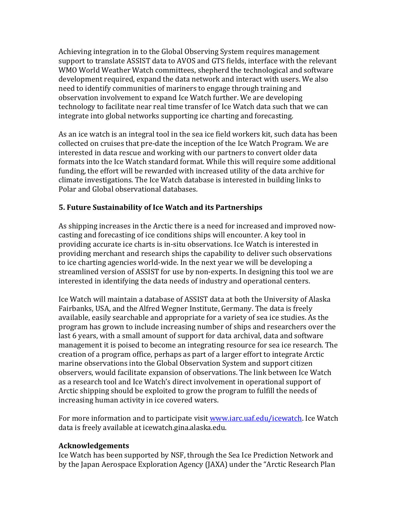Achieving integration in to the Global Observing System requires management support to translate ASSIST data to AVOS and GTS fields, interface with the relevant WMO World Weather Watch committees, shepherd the technological and software development required, expand the data network and interact with users. We also need to identify communities of mariners to engage through training and observation involvement to expand Ice Watch further. We are developing technology to facilitate near real time transfer of Ice Watch data such that we can integrate into global networks supporting ice charting and forecasting.

As an ice watch is an integral tool in the sea ice field workers kit, such data has been collected on cruises that pre-date the inception of the Ice Watch Program. We are interested in data rescue and working with our partners to convert older data formats into the Ice Watch standard format. While this will require some additional funding, the effort will be rewarded with increased utility of the data archive for climate investigations. The Ice Watch database is interested in building links to Polar and Global observational databases.

## 5. Future Sustainability of Ice Watch and its Partnerships

As shipping increases in the Arctic there is a need for increased and improved nowcasting and forecasting of ice conditions ships will encounter. A key tool in providing accurate ice charts is in-situ observations. Ice Watch is interested in providing merchant and research ships the capability to deliver such observations to ice charting agencies world-wide. In the next year we will be developing a streamlined version of ASSIST for use by non-experts. In designing this tool we are interested in identifying the data needs of industry and operational centers.

Ice Watch will maintain a database of ASSIST data at both the University of Alaska Fairbanks, USA, and the Alfred Wegner Institute, Germany. The data is freely available, easily searchable and appropriate for a variety of sea ice studies. As the program has grown to include increasing number of ships and researchers over the last 6 years, with a small amount of support for data archival, data and software management it is poised to become an integrating resource for sea ice research. The creation of a program office, perhaps as part of a larger effort to integrate Arctic marine observations into the Global Observation System and support citizen observers, would facilitate expansion of observations. The link between Ice Watch as a research tool and Ice Watch's direct involvement in operational support of Arctic shipping should be exploited to grow the program to fulfill the needs of increasing human activity in ice covered waters.

For more information and to participate visit www.iarc.uaf.edu/icewatch. Ice Watch data is freely available at icewatch.gina.alaska.edu.

### Acknowledgements

Ice Watch has been supported by NSF, through the Sea Ice Prediction Network and by the Japan Aerospace Exploration Agency (JAXA) under the "Arctic Research Plan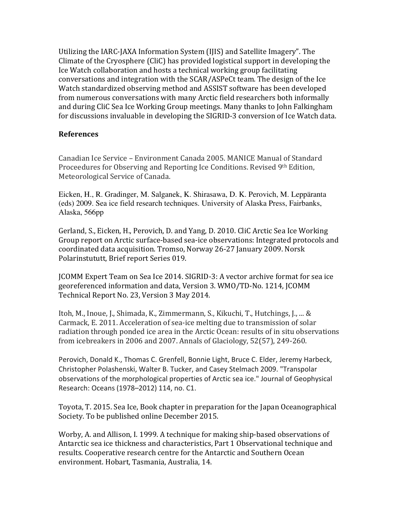Utilizing the IARC-JAXA Information System (IJIS) and Satellite Imagery". The Climate of the Cryosphere (CliC) has provided logistical support in developing the Ice Watch collaboration and hosts a technical working group facilitating conversations and integration with the SCAR/ASPeCt team. The design of the Ice Watch standardized observing method and ASSIST software has been developed from numerous conversations with many Arctic field researchers both informally and during CliC Sea Ice Working Group meetings. Many thanks to John Falkingham for discussions invaluable in developing the SIGRID-3 conversion of Ice Watch data.

### References

Canadian Ice Service – Environment Canada 2005. MANICE Manual of Standard Proceedures for Observing and Reporting Ice Conditions. Revised 9th Edition, Meteorological Service of Canada.

Eicken, H., R. Gradinger, M. Salganek, K. Shirasawa, D. K. Perovich, M. Leppäranta (eds) 2009. Sea ice field research techniques. University of Alaska Press, Fairbanks, Alaska, 566pp

Gerland, S., Eicken, H., Perovich, D. and Yang, D. 2010. CliC Arctic Sea Ice Working Group report on Arctic surface-based sea-ice observations: Integrated protocols and coordinated data acquisition. Tromso, Norway 26-27 January 2009. Norsk Polarinstututt, Brief report Series 019.

JCOMM Expert Team on Sea Ice 2014. SIGRID-3: A vector archive format for sea ice georeferenced information and data, Version 3. WMO/TD-No. 1214, JCOMM Technical Report No. 23, Version 3 May 2014.

Itoh, M., Inoue, J., Shimada, K., Zimmermann, S., Kikuchi, T., Hutchings, J., ... & Carmack, E. 2011. Acceleration of sea-ice melting due to transmission of solar radiation through ponded ice area in the Arctic Ocean: results of in situ observations from icebreakers in 2006 and 2007. Annals of Glaciology, 52(57), 249-260.

Perovich, Donald K., Thomas C. Grenfell, Bonnie Light, Bruce C. Elder, Jeremy Harbeck, Christopher Polashenski, Walter B. Tucker, and Casey Stelmach 2009. "Transpolar observations of the morphological properties of Arctic sea ice." Journal of Geophysical Research: Oceans (1978–2012) 114, no. C1.

Toyota, T. 2015. Sea Ice, Book chapter in preparation for the Japan Oceanographical Society. To be published online December 2015.

Worby, A. and Allison, I. 1999. A technique for making ship-based observations of Antarctic sea ice thickness and characteristics, Part 1 Observational technique and results. Cooperative research centre for the Antarctic and Southern Ocean environment. Hobart, Tasmania, Australia, 14.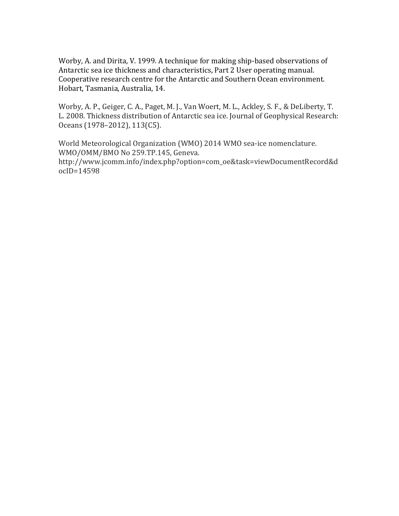Worby, A. and Dirita, V. 1999. A technique for making ship-based observations of Antarctic sea ice thickness and characteristics, Part 2 User operating manual. Cooperative research centre for the Antarctic and Southern Ocean environment. Hobart, Tasmania, Australia, 14.

Worby, A. P., Geiger, C. A., Paget, M. J., Van Woert, M. L., Ackley, S. F., & DeLiberty, T. L. 2008. Thickness distribution of Antarctic sea ice. Journal of Geophysical Research: Oceans (1978–2012), 113(C5).

World Meteorological Organization (WMO) 2014 WMO sea-ice nomenclature. WMO/OMM/BMO No 259.TP.145, Geneva. http://www.jcomm.info/index.php?option=com\_oe&task=viewDocumentRecord&d ocID=14598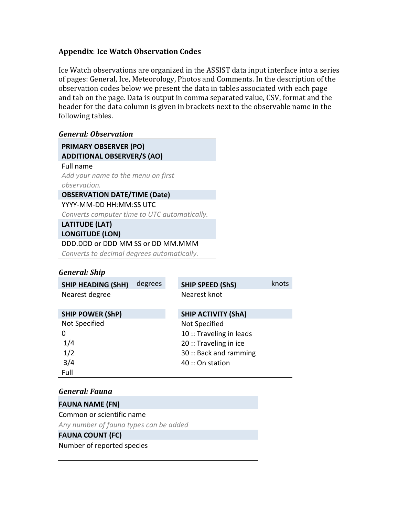### Appendix: Ice Watch Observation Codes

Ice Watch observations are organized in the ASSIST data input interface into a series of pages: General, Ice, Meteorology, Photos and Comments. In the description of the observation codes below we present the data in tables associated with each page and tab on the page. Data is output in comma separated value, CSV, format and the header for the data column is given in brackets next to the observable name in the following tables.

### General: Observation

PRIMARY OBSERVER (PO) ADDITIONAL OBSERVER/S (AO) Full name Add your name to the menu on first observation. OBSERVATION DATE/TIME (Date) YYYY-MM-DD HH:MM:SS UTC

Converts computer time to UTC automatically.

LATITUDE (LAT)

LONGITUDE (LON) DDD.DDD or DDD MM SS or DD MM.MMM

Converts to decimal degrees automatically.

#### General: Ship

| <b>SHIP HEADING (ShH)</b> | degrees | <b>SHIP SPEED (ShS)</b>    | knots |
|---------------------------|---------|----------------------------|-------|
| Nearest degree            |         | Nearest knot               |       |
|                           |         |                            |       |
| <b>SHIP POWER (ShP)</b>   |         | <b>SHIP ACTIVITY (ShA)</b> |       |
| Not Specified             |         | Not Specified              |       |
| 0                         |         | 10 :: Traveling in leads   |       |
| 1/4                       |         | 20 :: Traveling in ice     |       |
| 1/2                       |         | 30: Back and ramming       |       |
| 3/4                       |         | 40 :: On station           |       |
| Full                      |         |                            |       |

#### General: Fauna

FAUNA NAME (FN) Common or scientific name Any number of fauna types can be added FAUNA COUNT (FC)

Number of reported species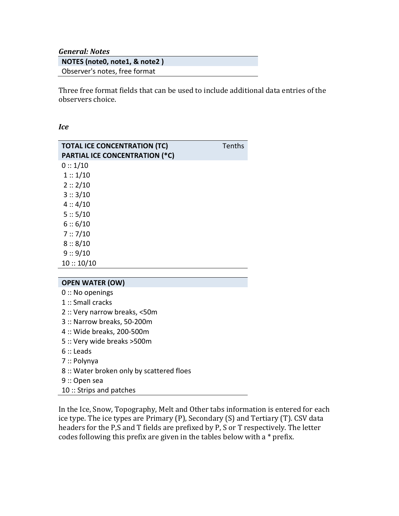General: Notes

| NOTES (note0, note1, & note2) |  |
|-------------------------------|--|
| Observer's notes, free format |  |

Three free format fields that can be used to include additional data entries of the observers choice.

Ice

| <b>TOTAL ICE CONCENTRATION (TC)</b>   | Tenths |
|---------------------------------------|--------|
| <b>PARTIAL ICE CONCENTRATION (*C)</b> |        |
| 0::1/10                               |        |
| 1::1/10                               |        |
| 2::2/10                               |        |
| 3::3/10                               |        |
| 4:4/10                                |        |
| 5:: 5/10                              |        |
| 6:6/10                                |        |
| 7:7/10                                |        |
| 8:8/10                                |        |
| 9:9/10                                |        |
| 10::10/10                             |        |
|                                       |        |

#### OPEN WATER (OW)

- 0 :: No openings
- 1 :: Small cracks
- 2 :: Very narrow breaks, <50m
- 3 :: Narrow breaks, 50-200m
- 4 :: Wide breaks, 200-500m
- 5 :: Very wide breaks >500m
- 6 :: Leads
- 7 :: Polynya
- 8 :: Water broken only by scattered floes
- 9 :: Open sea
- 10 :: Strips and patches

In the Ice, Snow, Topography, Melt and Other tabs information is entered for each ice type. The ice types are Primary (P), Secondary (S) and Tertiary (T). CSV data headers for the P,S and T fields are prefixed by P, S or T respectively. The letter codes following this prefix are given in the tables below with a \* prefix.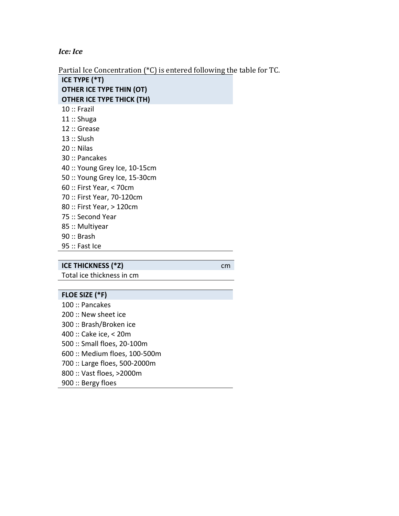Ice: Ice

Partial Ice Concentration (\*C) is entered following the table for TC.

ICE TYPE (\*T) OTHER ICE TYPE THIN (OT) OTHER ICE TYPE THICK (TH) 10 :: Frazil 11 :: Shuga 12 :: Grease 13 :: Slush 20 :: Nilas 30 :: Pancakes 40 :: Young Grey Ice, 10-15cm 50 :: Young Grey Ice, 15-30cm 60 :: First Year, < 70cm 70 :: First Year, 70-120cm 80 :: First Year, > 120cm 75 :: Second Year 85 :: Multiyear 90 :: Brash 95 :: Fast Ice

#### ICE THICKNESS (\*Z) cm

Total ice thickness in cm

#### FLOE SIZE (\*F)

100 :: Pancakes 200 :: New sheet ice 300 :: Brash/Broken ice 400 :: Cake ice, < 20m 500 :: Small floes, 20-100m 600 :: Medium floes, 100-500m 700 :: Large floes, 500-2000m 800 :: Vast floes, >2000m 900 :: Bergy floes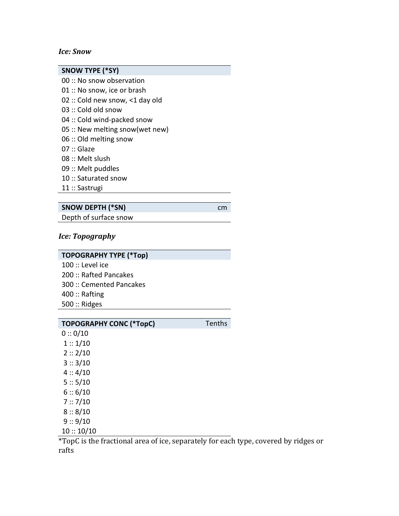#### Ice: Snow

| <b>SNOW TYPE (*SY)</b>          |
|---------------------------------|
| $00::$ No snow observation      |
| 01 :: No snow, ice or brash     |
| 02 :: Cold new snow, <1 day old |
| $03::$ Cold old snow            |
| 04 :: Cold wind-packed snow     |
| 05 :: New melting snow(wet new) |
| 06: Old melting snow            |
| 07 :: Glaze                     |
| $08::$ Melt slush               |
| 09 :: Melt puddles              |
| 10 :: Saturated snow            |
| 11 :: Sastrugi                  |
|                                 |

# SNOW DEPTH (\*SN) cm

Depth of surface snow

## Ice: Topography

# TOPOGRAPHY TYPE (\*Top)

100 :: Level ice 200 :: Rafted Pancakes 300 :: Cemented Pancakes 400 :: Rafting 500 :: Ridges

| <b>TOPOGRAPHY CONC (*TopC)</b> | <b>Tenths</b> |
|--------------------------------|---------------|
| 0::0/10                        |               |
| 1::1/10                        |               |
| 2::2/10                        |               |
| 3::3/10                        |               |

- $4:4/10$  $5:: 5/10$  $6:: 6/10$  7 :: 7/10  $8:: 8/10$
- 9 :: 9/10
- $10 :: 10/10$

\*TopC is the fractional area of ice, separately for each type, covered by ridges or rafts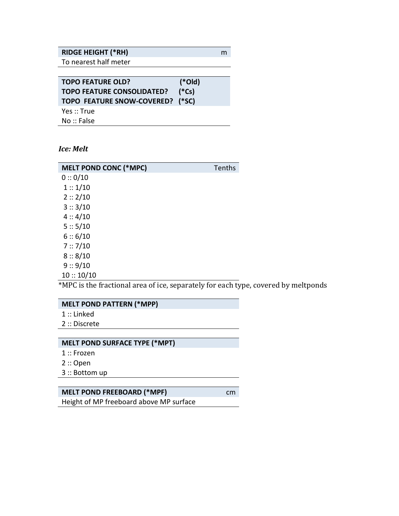## RIDGE HEIGHT (\*RH) m

To nearest half meter

| <b>TOPO FEATURE OLD?</b>          | $(*Old)$ |
|-----------------------------------|----------|
| <b>TOPO FEATURE CONSOLIDATED?</b> | $(*Cs)$  |
| TOPO FEATURE SNOW-COVERED? (*SC)  |          |
| Yes :: True                       |          |
| No :: False                       |          |
|                                   |          |

#### Ice: Melt

| <b>MELT POND CONC (*MPC)</b> | Tenths |
|------------------------------|--------|
| 0:0/10                       |        |
| 1::1/10                      |        |
| 2:2/10                       |        |
| 3::3/10                      |        |
| 4:4/10                       |        |
| 5:: 5/10                     |        |
| 6:6/10                       |        |
| 7:7/10                       |        |
| 8:8/10                       |        |
| 9:9/10                       |        |
| 10::10/10                    |        |

\*MPC is the fractional area of ice, separately for each type, covered by meltponds

### MELT POND PATTERN (\*MPP)

- 1 :: Linked
- 2 :: Discrete

### MELT POND SURFACE TYPE (\*MPT)

- 1 :: Frozen
- 2 :: Open
- 3 :: Bottom up

# MELT POND FREEBOARD (\*MPF) cm

Height of MP freeboard above MP surface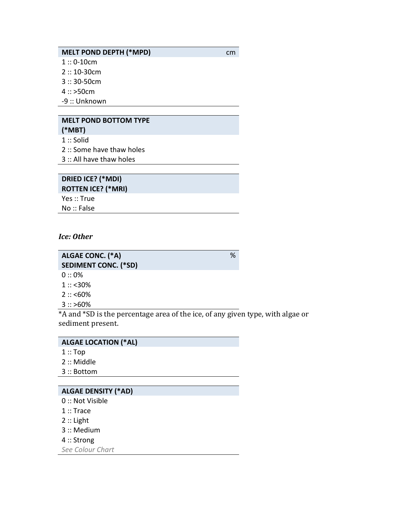#### MELT POND DEPTH (\*MPD) cm

 $1:: 0-10$ cm

- 2 :: 10-30cm
- 3 :: 30-50cm
- $4$  :: >50cm
- -9 :: Unknown

# MELT POND BOTTOM TYPE

(\*MBT) 1 :: Solid

- 2 :: Some have thaw holes
- 3 :: All have thaw holes

# DRIED ICE? (\*MDI) ROTTEN ICE? (\*MRI) Yes :: True

No :: False

#### Ice: Other

| ALGAE CONC. (*A)            | $\%$ |
|-----------------------------|------|
| <b>SEDIMENT CONC. (*SD)</b> |      |
| $0:0\%$                     |      |
| $1::<30\%$                  |      |
| $2::$ <60%                  |      |

 $3$  :: >60%

\*A and \*SD is the percentage area of the ice, of any given type, with algae or sediment present.

### ALGAE LOCATION (\*AL)

- $1$  :: Top
- 2 :: Middle
- 3 :: Bottom

#### ALGAE DENSITY (\*AD)

- 0 :: Not Visible
- 1 :: Trace
- 2 :: Light
- 3 :: Medium
- 4 :: Strong

See Colour Chart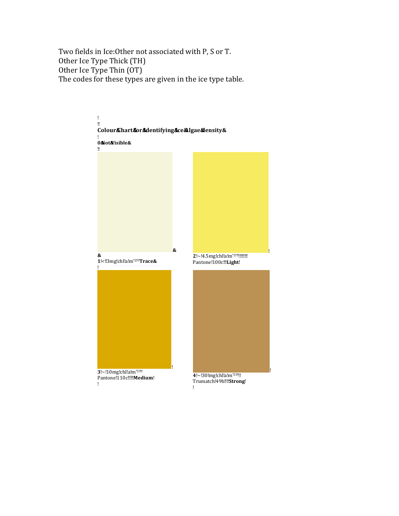Two fields in Ice:Other not associated with P, S or T. Other Ice Type Thick (TH) Other Ice Type Thin (OT) The codes for these types are given in the ice type table.

! !! Colour&hart&or&dentifying&ce&Algae&ensity& ! 0&Not&Visible& !! & & 1!<!!3mg!chl!a!m\*2!!!!Trace& ! 2!~!4.5mg!chl!a!m\*2!!!!!!!!!!!! Pantone!100c!!!Light! ! **3**!~!10mg!chl!a!m\*<sup>2!!!!!</sup> Pantone!110c!!!!!**Medium**! ! 4!~!30!mg!chl!a!m\*2!!!!!! Trumatch!49b!!!!Strong! !

!<br>!

!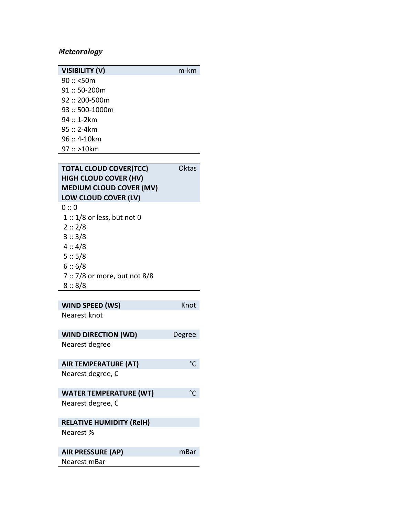# Meteorology

| <b>VISIBILITY (V)</b> | m-km |
|-----------------------|------|
| 90::< 50m             |      |
| $91::50-200m$         |      |
| $92::200-500m$        |      |
| $93::500-1000m$       |      |
| 94 :: 1-2km           |      |
| $95::2-4km$           |      |
| 96 :: 4-10km          |      |
| 97 :: >10km           |      |

# TOTAL CLOUD COVER(TCC) Oktas HIGH CLOUD COVER (HV) MEDIUM CLOUD COVER (MV) LOW CLOUD COVER (LV)

| ი :: ი                        |
|-------------------------------|
| $1::1/8$ or less, but not 0   |
| 2::2/8                        |
| 3::3/8                        |
| 4:4/8                         |
| 5:: 5/8                       |
| 6:: 6/8                       |
| 7 :: 7/8 or more, but not 8/8 |
| 8::8/8                        |

| WIND SPEED (WS) | Knot |
|-----------------|------|
| Nearest knot    |      |

| <b>WIND DIRECTION (WD)</b>      | Degree |
|---------------------------------|--------|
| Nearest degree                  |        |
| <b>AIR TEMPERATURE (AT)</b>     |        |
| Nearest degree, C               |        |
| <b>WATER TEMPERATURE (WT)</b>   |        |
| Nearest degree, C               |        |
| <b>RELATIVE HUMIDITY (RelH)</b> |        |
| Nearest %                       |        |
| <b>AIR PRESSURE (AP)</b>        | mBar   |
| Nearest mBar                    |        |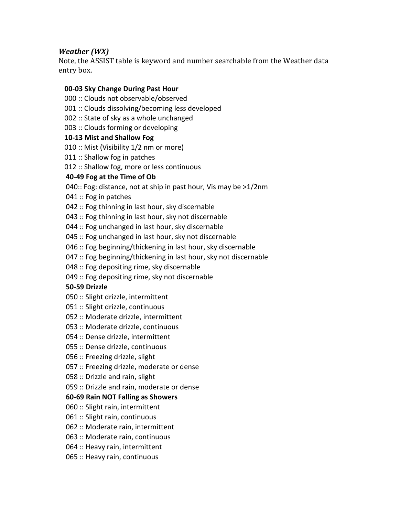### Weather (WX)

Note, the ASSIST table is keyword and number searchable from the Weather data entry box.

### 00-03 Sky Change During Past Hour

- 000 :: Clouds not observable/observed
- 001 :: Clouds dissolving/becoming less developed
- 002 :: State of sky as a whole unchanged
- 003 :: Clouds forming or developing

### 10-13 Mist and Shallow Fog

- 010 :: Mist (Visibility 1/2 nm or more)
- 011 :: Shallow fog in patches
- 012 :: Shallow fog, more or less continuous

## 40-49 Fog at the Time of Ob

- 040:: Fog: distance, not at ship in past hour, Vis may be >1/2nm
- 041 :: Fog in patches
- 042 :: Fog thinning in last hour, sky discernable
- 043 :: Fog thinning in last hour, sky not discernable
- 044 :: Fog unchanged in last hour, sky discernable
- 045 :: Fog unchanged in last hour, sky not discernable
- 046 :: Fog beginning/thickening in last hour, sky discernable
- 047 :: Fog beginning/thickening in last hour, sky not discernable
- 048 :: Fog depositing rime, sky discernable
- 049 :: Fog depositing rime, sky not discernable

## 50-59 Drizzle

- 050 :: Slight drizzle, intermittent
- 051 :: Slight drizzle, continuous
- 052 :: Moderate drizzle, intermittent
- 053 :: Moderate drizzle, continuous
- 054 :: Dense drizzle, intermittent
- 055 :: Dense drizzle, continuous
- 056 :: Freezing drizzle, slight
- 057 :: Freezing drizzle, moderate or dense
- 058 :: Drizzle and rain, slight
- 059 :: Drizzle and rain, moderate or dense

## 60-69 Rain NOT Falling as Showers

- 060 :: Slight rain, intermittent
- 061 :: Slight rain, continuous
- 062 :: Moderate rain, intermittent
- 063 :: Moderate rain, continuous
- 064 :: Heavy rain, intermittent
- 065 :: Heavy rain, continuous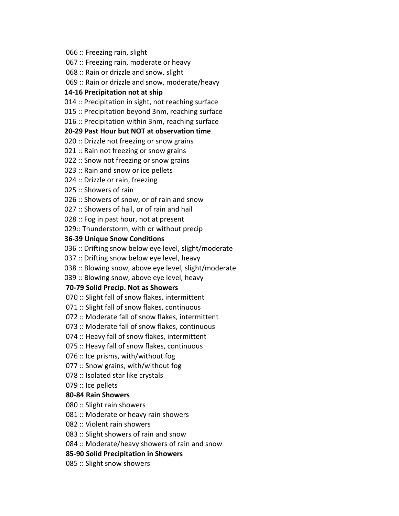066 :: Freezing rain, slight

067 :: Freezing rain, moderate or heavy

068 :: Rain or drizzle and snow, slight

069 :: Rain or drizzle and snow, moderate/heavy

#### 14-16 Precipitation not at ship

014 :: Precipitation in sight, not reaching surface

015 :: Precipitation beyond 3nm, reaching surface

016 :: Precipitation within 3nm, reaching surface

#### 20-29 Past Hour but NOT at observation time

020 :: Drizzle not freezing or snow grains

021 :: Rain not freezing or snow grains

022 :: Snow not freezing or snow grains

023 :: Rain and snow or ice pellets

024 :: Drizzle or rain, freezing

025 :: Showers of rain

026 :: Showers of snow, or of rain and snow

027 :: Showers of hail, or of rain and hail

028 :: Fog in past hour, not at present

029:: Thunderstorm, with or without precip

#### 36-39 Unique Snow Conditions

036 :: Drifting snow below eye level, slight/moderate

037 :: Drifting snow below eye level, heavy

038 :: Blowing snow, above eye level, slight/moderate

039 :: Blowing snow, above eye level, heavy

#### 70-79 Solid Precip. Not as Showers

070 :: Slight fall of snow flakes, intermittent

071 :: Slight fall of snow flakes, continuous

072 :: Moderate fall of snow flakes, intermittent

073 :: Moderate fall of snow flakes, continuous

074 :: Heavy fall of snow flakes, intermittent

075 :: Heavy fall of snow flakes, continuous

076 :: Ice prisms, with/without fog

077 :: Snow grains, with/without fog

078 :: Isolated star like crystals

079 :: Ice pellets

### 80-84 Rain Showers

080 :: Slight rain showers

081 :: Moderate or heavy rain showers

082 :: Violent rain showers

083 :: Slight showers of rain and snow

084 :: Moderate/heavy showers of rain and snow

85-90 Solid Precipitation in Showers

085 :: Slight snow showers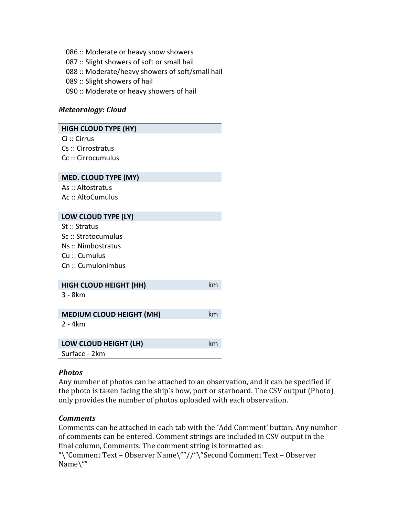086 :: Moderate or heavy snow showers 087 :: Slight showers of soft or small hail 088 :: Moderate/heavy showers of soft/small hail 089 :: Slight showers of hail 090 :: Moderate or heavy showers of hail

#### Meteorology: Cloud

| <b>HIGH CLOUD TYPE (HY)</b>                  |    |
|----------------------------------------------|----|
| $\operatorname{Ci} :: \operatorname{Cirrus}$ |    |
| Cs: Cirrostratus                             |    |
| Cc :: Cirrocumulus                           |    |
|                                              |    |
| MED. CLOUD TYPE (MY)                         |    |
| As:: Altostratus                             |    |
| Ac :: AltoCumulus                            |    |
|                                              |    |
| LOW CLOUD TYPE (LY)                          |    |
| St :: Stratus                                |    |
| Sc :: Stratocumulus                          |    |
| Ns:: Nimbostratus                            |    |
| Cu: Cumulus                                  |    |
| Cn:: Cumulonimbus                            |    |
|                                              |    |
| <b>HIGH CLOUD HEIGHT (HH)</b>                | km |
| $3 - 8km$                                    |    |
|                                              |    |
| <b>MEDIUM CLOUD HEIGHT (MH)</b>              | km |
| 2 - 4km                                      |    |
|                                              |    |
| LOW CLOUD HEIGHT (LH)                        | km |
| Surface - 2km                                |    |

### Photos

Any number of photos can be attached to an observation, and it can be specified if the photo is taken facing the ship's bow, port or starboard. The CSV output (Photo) only provides the number of photos uploaded with each observation.

### **Comments**

Comments can be attached in each tab with the 'Add Comment' button. Any number of comments can be entered. Comment strings are included in CSV output in the final column, Comments. The comment string is formatted as:

"\"Comment Text – Observer Name\""//"\"Second Comment Text – Observer Name\""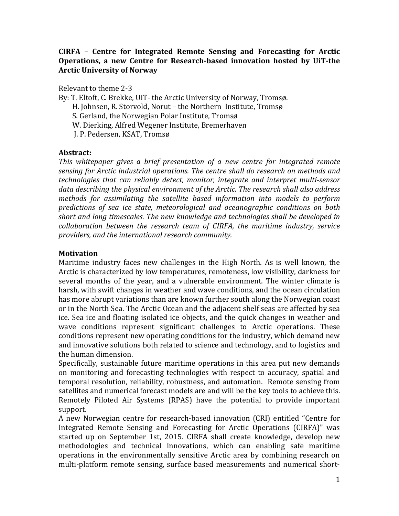### CIRFA – Centre for Integrated Remote Sensing and Forecasting for Arctic Operations, a new Centre for Research-based innovation hosted by UiT-the Arctic University of Norway

Relevant to theme 2-3

By: T. Eltoft, C. Brekke, UiT- the Arctic University of Norway, Tromsø. H. Johnsen, R. Storvold, Norut – the Northern Institute, Tromsø S. Gerland, the Norwegian Polar Institute, Tromsø W. Dierking, Alfred Wegener Institute, Bremerhaven J. P. Pedersen, KSAT, Tromsø

### Abstract:

This whitepaper gives a brief presentation of a new centre for integrated remote sensing for Arctic industrial operations. The centre shall do research on methods and technologies that can reliably detect, monitor, integrate and interpret multi-sensor data describing the physical environment of the Arctic. The research shall also address methods for assimilating the satellite based information into models to perform predictions of sea ice state, meteorological and oceanographic conditions on both short and long timescales. The new knowledge and technologies shall be developed in collaboration between the research team of CIRFA, the maritime industry, service providers, and the international research community.

#### **Motivation**

Maritime industry faces new challenges in the High North. As is well known, the Arctic is characterized by low temperatures, remoteness, low visibility, darkness for several months of the year, and a vulnerable environment. The winter climate is harsh, with swift changes in weather and wave conditions, and the ocean circulation has more abrupt variations than are known further south along the Norwegian coast or in the North Sea. The Arctic Ocean and the adjacent shelf seas are affected by sea ice. Sea ice and floating isolated ice objects, and the quick changes in weather and wave conditions represent significant challenges to Arctic operations. These conditions represent new operating conditions for the industry, which demand new and innovative solutions both related to science and technology, and to logistics and the human dimension.

Specifically, sustainable future maritime operations in this area put new demands on monitoring and forecasting technologies with respect to accuracy, spatial and temporal resolution, reliability, robustness, and automation. Remote sensing from satellites and numerical forecast models are and will be the key tools to achieve this. Remotely Piloted Air Systems (RPAS) have the potential to provide important support.

A new Norwegian centre for research-based innovation (CRI) entitled "Centre for Integrated Remote Sensing and Forecasting for Arctic Operations (CIRFA)" was started up on September 1st, 2015. CIRFA shall create knowledge, develop new methodologies and technical innovations, which can enabling safe maritime operations in the environmentally sensitive Arctic area by combining research on multi-platform remote sensing, surface based measurements and numerical short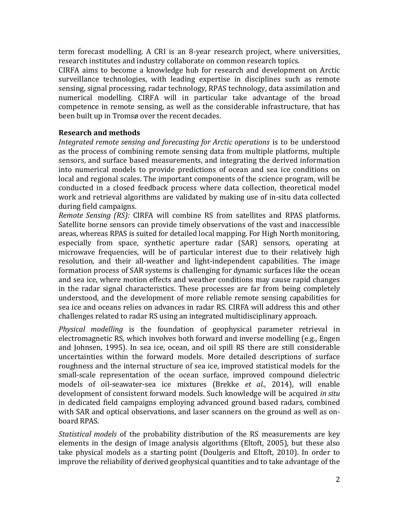term forecast modelling. A CRI is an 8-year research project, where universities, research institutes and industry collaborate on common research topics.

CIRFA aims to become a knowledge hub for research and development on Arctic surveillance technologies, with leading expertise in disciplines such as remote sensing, signal processing, radar technology, RPAS technology, data assimilation and numerical modelling. CIRFA will in particular take advantage of the broad competence in remote sensing, as well as the considerable infrastructure, that has been built up in Tromsø over the recent decades.

## Research and methods

Integrated remote sensing and forecasting for Arctic operations is to be understood as the process of combining remote sensing data from multiple platforms, multiple sensors, and surface based measurements, and integrating the derived information into numerical models to provide predictions of ocean and sea ice conditions on local and regional scales. The important components of the science program, will be conducted in a closed feedback process where data collection, theoretical model work and retrieval algorithms are validated by making use of in-situ data collected during field campaigns.

Remote Sensing (RS): CIRFA will combine RS from satellites and RPAS platforms. Satellite borne sensors can provide timely observations of the vast and inaccessible areas, whereas RPAS is suited for detailed local mapping. For High North monitoring, especially from space, synthetic aperture radar (SAR) sensors, operating at microwave frequencies, will be of particular interest due to their relatively high resolution, and their all-weather and light-independent capabilities. The image formation process of SAR systems is challenging for dynamic surfaces like the ocean and sea ice, where motion effects and weather conditions may cause rapid changes in the radar signal characteristics. These processes are far from being completely understood, and the development of more reliable remote sensing capabilities for sea ice and oceans relies on advances in radar RS. CIRFA will address this and other challenges related to radar RS using an integrated multidisciplinary approach.

Physical modelling is the foundation of geophysical parameter retrieval in electromagnetic RS, which involves both forward and inverse modelling (e.g., Engen and Johnsen, 1995). In sea ice, ocean, and oil spill RS there are still considerable uncertainties within the forward models. More detailed descriptions of surface roughness and the internal structure of sea ice, improved statistical models for the small-scale representation of the ocean surface, improved compound dielectric models of oil-seawater-sea ice mixtures (Brekke et al., 2014), will enable development of consistent forward models. Such knowledge will be acquired in situ in dedicated field campaigns employing advanced ground based radars, combined with SAR and optical observations, and laser scanners on the ground as well as onboard RPAS.

Statistical models of the probability distribution of the RS measurements are key elements in the design of image analysis algorithms (Eltoft, 2005), but these also take physical models as a starting point (Doulgeris and Eltoft, 2010). In order to improve the reliability of derived geophysical quantities and to take advantage of the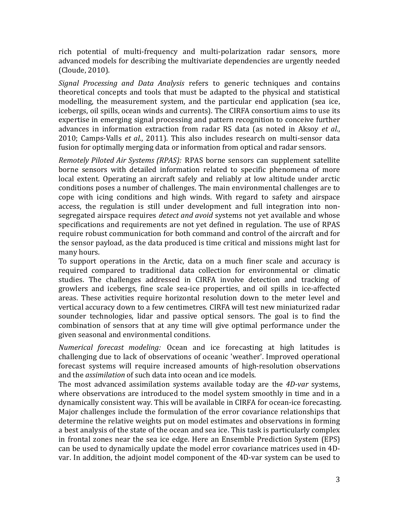rich potential of multi-frequency and multi-polarization radar sensors, more advanced models for describing the multivariate dependencies are urgently needed (Cloude, 2010).

Signal Processing and Data Analysis refers to generic techniques and contains theoretical concepts and tools that must be adapted to the physical and statistical modelling, the measurement system, and the particular end application (sea ice, icebergs, oil spills, ocean winds and currents). The CIRFA consortium aims to use its expertise in emerging signal processing and pattern recognition to conceive further advances in information extraction from radar RS data (as noted in Aksoy et al., 2010; Camps-Valls et al., 2011). This also includes research on multi-sensor data fusion for optimally merging data or information from optical and radar sensors.

Remotely Piloted Air Systems (RPAS): RPAS borne sensors can supplement satellite borne sensors with detailed information related to specific phenomena of more local extent. Operating an aircraft safely and reliably at low altitude under arctic conditions poses a number of challenges. The main environmental challenges are to cope with icing conditions and high winds. With regard to safety and airspace access, the regulation is still under development and full integration into nonsegregated airspace requires *detect and avoid* systems not yet available and whose specifications and requirements are not yet defined in regulation. The use of RPAS require robust communication for both command and control of the aircraft and for the sensor payload, as the data produced is time critical and missions might last for many hours.

To support operations in the Arctic, data on a much finer scale and accuracy is required compared to traditional data collection for environmental or climatic studies. The challenges addressed in CIRFA involve detection and tracking of growlers and icebergs, fine scale sea-ice properties, and oil spills in ice-affected areas. These activities require horizontal resolution down to the meter level and vertical accuracy down to a few centimetres. CIRFA will test new miniaturized radar sounder technologies, lidar and passive optical sensors. The goal is to find the combination of sensors that at any time will give optimal performance under the given seasonal and environmental conditions.

Numerical forecast modeling: Ocean and ice forecasting at high latitudes is challenging due to lack of observations of oceanic 'weather'. Improved operational forecast systems will require increased amounts of high-resolution observations and the assimilation of such data into ocean and ice models.

The most advanced assimilation systems available today are the 4D-var systems, where observations are introduced to the model system smoothly in time and in a dynamically consistent way. This will be available in CIRFA for ocean-ice forecasting. Major challenges include the formulation of the error covariance relationships that determine the relative weights put on model estimates and observations in forming a best analysis of the state of the ocean and sea ice. This task is particularly complex in frontal zones near the sea ice edge. Here an Ensemble Prediction System (EPS) can be used to dynamically update the model error covariance matrices used in 4Dvar. In addition, the adjoint model component of the 4D-var system can be used to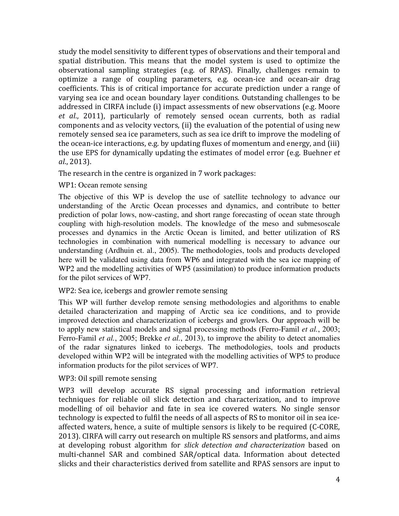study the model sensitivity to different types of observations and their temporal and spatial distribution. This means that the model system is used to optimize the observational sampling strategies (e.g. of RPAS). Finally, challenges remain to optimize a range of coupling parameters, e.g. ocean-ice and ocean-air drag coefficients. This is of critical importance for accurate prediction under a range of varying sea ice and ocean boundary layer conditions. Outstanding challenges to be addressed in CIRFA include (i) impact assessments of new observations (e.g. Moore et al., 2011), particularly of remotely sensed ocean currents, both as radial components and as velocity vectors, (ii) the evaluation of the potential of using new remotely sensed sea ice parameters, such as sea ice drift to improve the modeling of the ocean-ice interactions, e.g. by updating fluxes of momentum and energy, and (iii) the use EPS for dynamically updating the estimates of model error (e.g. Buehner et al., 2013).

The research in the centre is organized in 7 work packages:

### WP1: Ocean remote sensing

The objective of this WP is develop the use of satellite technology to advance our understanding of the Arctic Ocean processes and dynamics, and contribute to better prediction of polar lows, now-casting, and short range forecasting of ocean state through coupling with high-resolution models. The knowledge of the meso and submesoscale processes and dynamics in the Arctic Ocean is limited, and better utilization of RS technologies in combination with numerical modelling is necessary to advance our understanding (Ardhuin et. al., 2005). The methodologies, tools and products developed here will be validated using data from WP6 and integrated with the sea ice mapping of WP2 and the modelling activities of WP5 (assimilation) to produce information products for the pilot services of WP7.

### WP2: Sea ice, icebergs and growler remote sensing

This WP will further develop remote sensing methodologies and algorithms to enable detailed characterization and mapping of Arctic sea ice conditions, and to provide improved detection and characterization of icebergs and growlers*.* Our approach will be to apply new statistical models and signal processing methods (Ferro-Famil *et al.*, 2003; Ferro-Famil *et al.*, 2005; Brekke *et al.*, 2013), to improve the ability to detect anomalies of the radar signatures linked to icebergs. The methodologies, tools and products developed within WP2 will be integrated with the modelling activities of WP5 to produce information products for the pilot services of WP7.

### WP3: Oil spill remote sensing

WP3 will develop accurate RS signal processing and information retrieval techniques for reliable oil slick detection and characterization, and to improve modelling of oil behavior and fate in sea ice covered waters. No single sensor technology is expected to fulfil the needs of all aspects of RS to monitor oil in sea iceaffected waters, hence, a suite of multiple sensors is likely to be required (C-CORE, 2013). CIRFA will carry out research on multiple RS sensors and platforms, and aims at developing robust algorithm for slick detection and characterization based on multi-channel SAR and combined SAR/optical data. Information about detected slicks and their characteristics derived from satellite and RPAS sensors are input to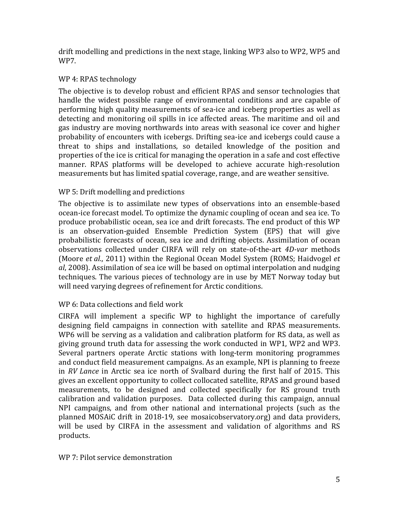drift modelling and predictions in the next stage, linking WP3 also to WP2, WP5 and WP7.

### WP 4: RPAS technology

The objective is to develop robust and efficient RPAS and sensor technologies that handle the widest possible range of environmental conditions and are capable of performing high quality measurements of sea-ice and iceberg properties as well as detecting and monitoring oil spills in ice affected areas. The maritime and oil and gas industry are moving northwards into areas with seasonal ice cover and higher probability of encounters with icebergs. Drifting sea-ice and icebergs could cause a threat to ships and installations, so detailed knowledge of the position and properties of the ice is critical for managing the operation in a safe and cost effective manner. RPAS platforms will be developed to achieve accurate high-resolution measurements but has limited spatial coverage, range, and are weather sensitive.

### WP 5: Drift modelling and predictions

The objective is to assimilate new types of observations into an ensemble-based ocean-ice forecast model. To optimize the dynamic coupling of ocean and sea ice. To produce probabilistic ocean, sea ice and drift forecasts. The end product of this WP is an observation-guided Ensemble Prediction System (EPS) that will give probabilistic forecasts of ocean, sea ice and drifting objects. Assimilation of ocean observations collected under CIRFA will rely on state-of-the-art 4D-var methods (Moore et al., 2011) within the Regional Ocean Model System (ROMS; Haidvogel et  $al$ , 2008). Assimilation of sea ice will be based on optimal interpolation and nudging techniques. The various pieces of technology are in use by MET Norway today but will need varying degrees of refinement for Arctic conditions.

## WP 6: Data collections and field work

CIRFA will implement a specific WP to highlight the importance of carefully designing field campaigns in connection with satellite and RPAS measurements. WP6 will be serving as a validation and calibration platform for RS data, as well as giving ground truth data for assessing the work conducted in WP1, WP2 and WP3. Several partners operate Arctic stations with long-term monitoring programmes and conduct field measurement campaigns. As an example, NPI is planning to freeze in RV Lance in Arctic sea ice north of Svalbard during the first half of 2015. This gives an excellent opportunity to collect collocated satellite, RPAS and ground based measurements, to be designed and collected specifically for RS ground truth calibration and validation purposes. Data collected during this campaign, annual NPI campaigns, and from other national and international projects (such as the planned MOSAiC drift in 2018-19, see mosaicobservatory.org) and data providers, will be used by CIRFA in the assessment and validation of algorithms and RS products.

#### WP 7: Pilot service demonstration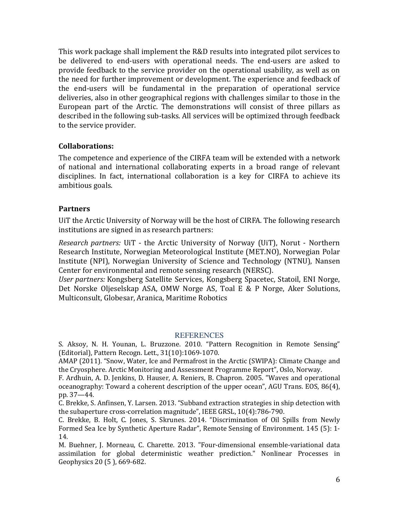This work package shall implement the R&D results into integrated pilot services to be delivered to end-users with operational needs. The end-users are asked to provide feedback to the service provider on the operational usability, as well as on the need for further improvement or development. The experience and feedback of the end-users will be fundamental in the preparation of operational service deliveries, also in other geographical regions with challenges similar to those in the European part of the Arctic. The demonstrations will consist of three pillars as described in the following sub-tasks. All services will be optimized through feedback to the service provider.

### Collaborations:

The competence and experience of the CIRFA team will be extended with a network of national and international collaborating experts in a broad range of relevant disciplines. In fact, international collaboration is a key for CIRFA to achieve its ambitious goals.

### **Partners**

UiT the Arctic University of Norway will be the host of CIRFA. The following research institutions are signed in as research partners:

Research partners: UiT - the Arctic University of Norway (UiT), Norut - Northern Research Institute, Norwegian Meteorological Institute (MET.NO), Norwegian Polar Institute (NPI), Norwegian University of Science and Technology (NTNU), Nansen Center for environmental and remote sensing research (NERSC).

User partners: Kongsberg Satellite Services, Kongsberg Spacetec, Statoil, ENI Norge, Det Norske Oljeselskap ASA, OMW Norge AS, Toal E & P Norge, Aker Solutions, Multiconsult, Globesar, Aranica, Maritime Robotics

### REFERENCES

S. Aksoy, N. H. Younan, L. Bruzzone. 2010. "Pattern Recognition in Remote Sensing" (Editorial), Pattern Recogn. Lett., 31(10):1069-1070.

AMAP (2011). "Snow, Water, Ice and Permafrost in the Arctic (SWIPA): Climate Change and the Cryosphere. Arctic Monitoring and Assessment Programme Report", Oslo, Norway.

F. Ardhuin, A. D. Jenkins, D. Hauser, A. Reniers, B. Chapron. 2005. "Waves and operational oceanography: Toward a coherent description of the upper ocean", AGU Trans. EOS, 86(4), pp. 37—44.

C. Brekke, S. Anfinsen, Y. Larsen. 2013. "Subband extraction strategies in ship detection with the subaperture cross-correlation magnitude", IEEE GRSL, 10(4):786-790.

C. Brekke, B. Holt, C. Jones, S. Skrunes. 2014. "Discrimination of Oil Spills from Newly Formed Sea Ice by Synthetic Aperture Radar", Remote Sensing of Environment. 145 (5): 1- 14.

M. Buehner, J. Morneau, C. Charette. 2013. "Four-dimensional ensemble-variational data assimilation for global deterministic weather prediction." Nonlinear Processes in Geophysics 20 (5 ), 669-682.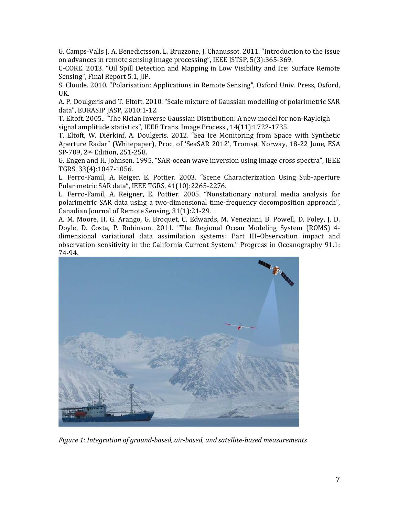G. Camps-Valls J. A. Benedictsson, L. Bruzzone, J. Chanussot. 2011. "Introduction to the issue on advances in remote sensing image processing", IEEE JSTSP, 5(3):365-369.

C-CORE. 2013. "Oil Spill Detection and Mapping in Low Visibility and Ice: Surface Remote Sensing", Final Report 5.1, JIP.

S. Cloude. 2010. "Polarisation: Applications in Remote Sensing", Oxford Univ. Press, Oxford, UK.

A. P. Doulgeris and T. Eltoft. 2010. "Scale mixture of Gaussian modelling of polarimetric SAR data", EURASIP JASP, 2010:1-12.

T. Eltoft. 2005.. "The Rician Inverse Gaussian Distribution: A new model for non-Rayleigh signal amplitude statistics", IEEE Trans. Image Process., 14(11):1722-1735.

T. Eltoft, W. Dierkinf, A. Doulgeris. 2012. "Sea Ice Monitoring from Space with Synthetic Aperture Radar" (Whitepaper), Proc. of 'SeaSAR 2012', Tromsø, Norway, 18-22 June, ESA SP-709, 2nd Edition, 251-258.

G. Engen and H. Johnsen. 1995. "SAR-ocean wave inversion using image cross spectra", IEEE TGRS, 33(4):1047-1056.

L. Ferro-Famil, A. Reiger, E. Pottier. 2003. "Scene Characterization Using Sub-aperture Polarimetric SAR data", IEEE TGRS, 41(10):2265-2276.

L. Ferro-Famil, A. Reigner, E. Pottier. 2005. "Nonstationary natural media analysis for polarimetric SAR data using a two-dimensional time-frequency decomposition approach", Canadian Journal of Remote Sensing, 31(1):21-29.

A. M. Moore, H. G. Arango, G. Broquet, C. Edwards, M. Veneziani, B. Powell, D. Foley, J. D. Doyle, D. Costa, P. Robinson. 2011. "The Regional Ocean Modeling System (ROMS) 4 dimensional variational data assimilation systems: Part III–Observation impact and observation sensitivity in the California Current System." Progress in Oceanography 91.1: 74-94.



Figure 1: Integration of ground-based, air-based, and satellite-based measurements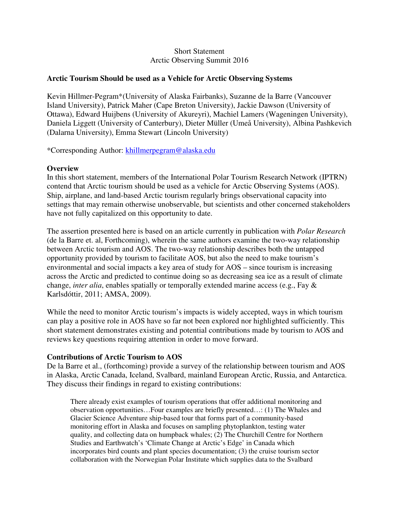#### Short Statement Arctic Observing Summit 2016

#### **Arctic Tourism Should be used as a Vehicle for Arctic Observing Systems**

Kevin Hillmer-Pegram\*(University of Alaska Fairbanks), Suzanne de la Barre (Vancouver Island University), Patrick Maher (Cape Breton University), Jackie Dawson (University of Ottawa), Edward Huijbens (University of Akureyri), Machiel Lamers (Wageningen University), Daniela Liggett (University of Canterbury), Dieter Müller (Umeå University), Albina Pashkevich (Dalarna University), Emma Stewart (Lincoln University)

\*Corresponding Author: khillmerpegram@alaska.edu

#### **Overview**

In this short statement, members of the International Polar Tourism Research Network (IPTRN) contend that Arctic tourism should be used as a vehicle for Arctic Observing Systems (AOS). Ship, airplane, and land-based Arctic tourism regularly brings observational capacity into settings that may remain otherwise unobservable, but scientists and other concerned stakeholders have not fully capitalized on this opportunity to date.

The assertion presented here is based on an article currently in publication with *Polar Research* (de la Barre et. al, Forthcoming), wherein the same authors examine the two-way relationship between Arctic tourism and AOS. The two-way relationship describes both the untapped opportunity provided by tourism to facilitate AOS, but also the need to make tourism's environmental and social impacts a key area of study for AOS – since tourism is increasing across the Arctic and predicted to continue doing so as decreasing sea ice as a result of climate change, *inter alia*, enables spatially or temporally extended marine access (e.g., Fay & Karlsdóttir, 2011; AMSA, 2009).

While the need to monitor Arctic tourism's impacts is widely accepted, ways in which tourism can play a positive role in AOS have so far not been explored nor highlighted sufficiently. This short statement demonstrates existing and potential contributions made by tourism to AOS and reviews key questions requiring attention in order to move forward.

#### **Contributions of Arctic Tourism to AOS**

De la Barre et al., (forthcoming) provide a survey of the relationship between tourism and AOS in Alaska, Arctic Canada, Iceland, Svalbard, mainland European Arctic, Russia, and Antarctica. They discuss their findings in regard to existing contributions:

There already exist examples of tourism operations that offer additional monitoring and observation opportunities…Four examples are briefly presented…: (1) The Whales and Glacier Science Adventure ship-based tour that forms part of a community-based monitoring effort in Alaska and focuses on sampling phytoplankton, testing water quality, and collecting data on humpback whales; (2) The Churchill Centre for Northern Studies and Earthwatch's 'Climate Change at Arctic's Edge' in Canada which incorporates bird counts and plant species documentation; (3) the cruise tourism sector collaboration with the Norwegian Polar Institute which supplies data to the Svalbard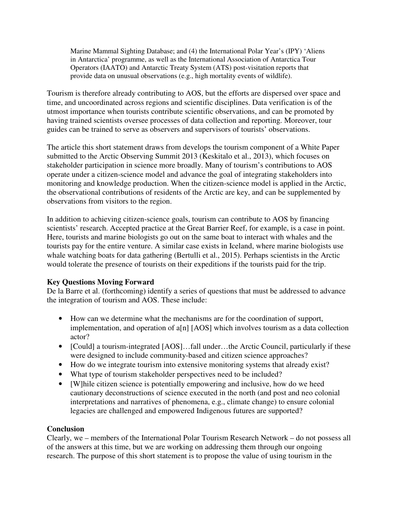Marine Mammal Sighting Database; and (4) the International Polar Year's (IPY) 'Aliens in Antarctica' programme, as well as the International Association of Antarctica Tour Operators (IAATO) and Antarctic Treaty System (ATS) post-visitation reports that provide data on unusual observations (e.g., high mortality events of wildlife).

Tourism is therefore already contributing to AOS, but the efforts are dispersed over space and time, and uncoordinated across regions and scientific disciplines. Data verification is of the utmost importance when tourists contribute scientific observations, and can be promoted by having trained scientists oversee processes of data collection and reporting. Moreover, tour guides can be trained to serve as observers and supervisors of tourists' observations.

The article this short statement draws from develops the tourism component of a White Paper submitted to the Arctic Observing Summit 2013 (Keskitalo et al., 2013), which focuses on stakeholder participation in science more broadly. Many of tourism's contributions to AOS operate under a citizen-science model and advance the goal of integrating stakeholders into monitoring and knowledge production. When the citizen-science model is applied in the Arctic, the observational contributions of residents of the Arctic are key, and can be supplemented by observations from visitors to the region.

In addition to achieving citizen-science goals, tourism can contribute to AOS by financing scientists' research. Accepted practice at the Great Barrier Reef, for example, is a case in point. Here, tourists and marine biologists go out on the same boat to interact with whales and the tourists pay for the entire venture. A similar case exists in Iceland, where marine biologists use whale watching boats for data gathering (Bertulli et al., 2015). Perhaps scientists in the Arctic would tolerate the presence of tourists on their expeditions if the tourists paid for the trip.

### **Key Questions Moving Forward**

De la Barre et al. (forthcoming) identify a series of questions that must be addressed to advance the integration of tourism and AOS. These include:

- How can we determine what the mechanisms are for the coordination of support, implementation, and operation of a[n] [AOS] which involves tourism as a data collection actor?
- [Could] a tourism-integrated [AOS]...fall under...the Arctic Council, particularly if these were designed to include community-based and citizen science approaches?
- How do we integrate tourism into extensive monitoring systems that already exist?
- What type of tourism stakeholder perspectives need to be included?
- [W]hile citizen science is potentially empowering and inclusive, how do we heed cautionary deconstructions of science executed in the north (and post and neo colonial interpretations and narratives of phenomena, e.g., climate change) to ensure colonial legacies are challenged and empowered Indigenous futures are supported?

### **Conclusion**

Clearly, we – members of the International Polar Tourism Research Network – do not possess all of the answers at this time, but we are working on addressing them through our ongoing research. The purpose of this short statement is to propose the value of using tourism in the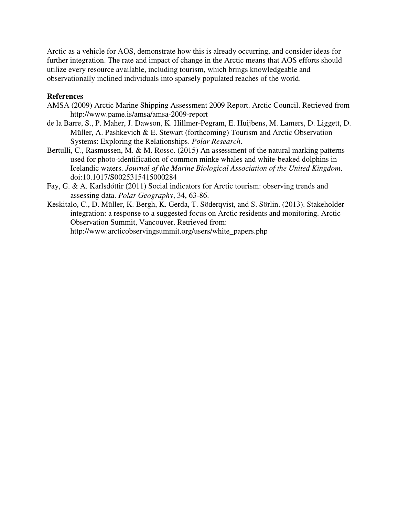Arctic as a vehicle for AOS, demonstrate how this is already occurring, and consider ideas for further integration. The rate and impact of change in the Arctic means that AOS efforts should utilize every resource available, including tourism, which brings knowledgeable and observationally inclined individuals into sparsely populated reaches of the world.

#### **References**

- AMSA (2009) Arctic Marine Shipping Assessment 2009 Report. Arctic Council. Retrieved from http://www.pame.is/amsa/amsa-2009-report
- de la Barre, S., P. Maher, J. Dawson, K. Hillmer-Pegram, E. Huijbens, M. Lamers, D. Liggett, D. Müller, A. Pashkevich & E. Stewart (forthcoming) Tourism and Arctic Observation Systems: Exploring the Relationships. *Polar Research*.
- Bertulli, C., Rasmussen, M. & M. Rosso. (2015) An assessment of the natural marking patterns used for photo-identification of common minke whales and white-beaked dolphins in Icelandic waters. *Journal of the Marine Biological Association of the United Kingdom*. doi:10.1017/S0025315415000284
- Fay, G. & A. Karlsdóttir (2011) Social indicators for Arctic tourism: observing trends and assessing data. *Polar Geography*, 34, 63-86.
- Keskitalo, C., D. Müller, K. Bergh, K. Gerda, T. Söderqvist, and S. Sörlin. (2013). Stakeholder integration: a response to a suggested focus on Arctic residents and monitoring. Arctic Observation Summit, Vancouver. Retrieved from: http://www.arcticobservingsummit.org/users/white\_papers.php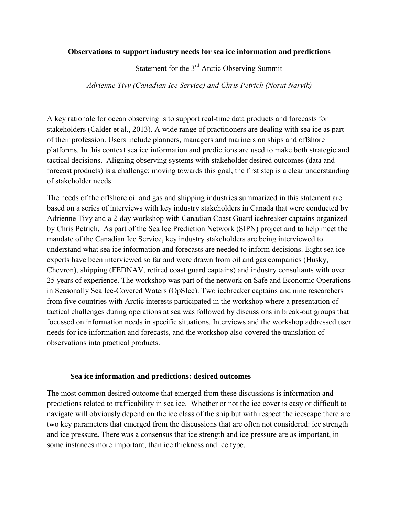#### **Observations to support industry needs for sea ice information and predictions**

- Statement for the 3<sup>rd</sup> Arctic Observing Summit -

*Adrienne Tivy (Canadian Ice Service) and Chris Petrich (Norut Narvik)*

A key rationale for ocean observing is to support real-time data products and forecasts for stakeholders (Calder et al., 2013). A wide range of practitioners are dealing with sea ice as part of their profession. Users include planners, managers and mariners on ships and offshore platforms. In this context sea ice information and predictions are used to make both strategic and tactical decisions. Aligning observing systems with stakeholder desired outcomes (data and forecast products) is a challenge; moving towards this goal, the first step is a clear understanding of stakeholder needs.

The needs of the offshore oil and gas and shipping industries summarized in this statement are based on a series of interviews with key industry stakeholders in Canada that were conducted by Adrienne Tivy and a 2-day workshop with Canadian Coast Guard icebreaker captains organized by Chris Petrich.As part of the Sea Ice Prediction Network (SIPN) project and to help meet the mandate of the Canadian Ice Service, key industry stakeholders are being interviewed to understand what sea ice information and forecasts are needed to inform decisions. Eight sea ice experts have been interviewed so far and were drawn from oil and gas companies (Husky, Chevron), shipping (FEDNAV, retired coast guard captains) and industry consultants with over 25 years of experience. The workshop was part of the network on Safe and Economic Operations in Seasonally Sea Ice-Covered Waters (OpSIce). Two icebreaker captains and nine researchers from five countries with Arctic interests participated in the workshop where a presentation of tactical challenges during operations at sea was followed by discussions in break-out groups that focussed on information needs in specific situations. Interviews and the workshop addressed user needs for ice information and forecasts, and the workshop also covered the translation of observations into practical products.

### **Sea ice information and predictions: desired outcomes**

The most common desired outcome that emerged from these discussions is information and predictions related to trafficability in sea ice. Whether or not the ice cover is easy or difficult to navigate will obviously depend on the ice class of the ship but with respect the icescape there are two key parameters that emerged from the discussions that are often not considered: ice strength and ice pressure**.** There was a consensus that ice strength and ice pressure are as important, in some instances more important, than ice thickness and ice type.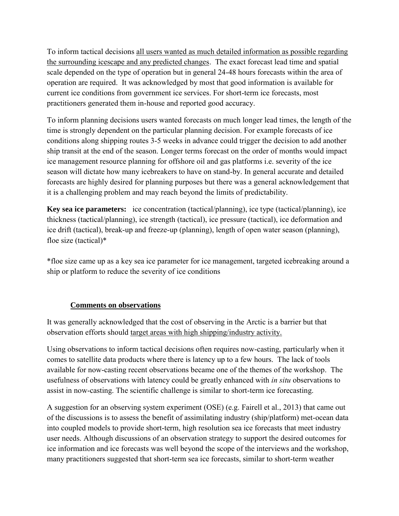To inform tactical decisions all users wanted as much detailed information as possible regarding the surrounding icescape and any predicted changes. The exact forecast lead time and spatial scale depended on the type of operation but in general 24-48 hours forecasts within the area of operation are required. It was acknowledged by most that good information is available for current ice conditions from government ice services. For short-term ice forecasts, most practitioners generated them in-house and reported good accuracy.

To inform planning decisions users wanted forecasts on much longer lead times, the length of the time is strongly dependent on the particular planning decision. For example forecasts of ice conditions along shipping routes 3-5 weeks in advance could trigger the decision to add another ship transit at the end of the season. Longer terms forecast on the order of months would impact ice management resource planning for offshore oil and gas platforms i.e. severity of the ice season will dictate how many icebreakers to have on stand-by. In general accurate and detailed forecasts are highly desired for planning purposes but there was a general acknowledgement that it is a challenging problem and may reach beyond the limits of predictability.

**Key sea ice parameters:** ice concentration (tactical/planning), ice type (tactical/planning), ice thickness (tactical/planning), ice strength (tactical), ice pressure (tactical), ice deformation and ice drift (tactical), break-up and freeze-up (planning), length of open water season (planning), floe size (tactical)\*

\*floe size came up as a key sea ice parameter for ice management, targeted icebreaking around a ship or platform to reduce the severity of ice conditions

## **Comments on observations**

It was generally acknowledged that the cost of observing in the Arctic is a barrier but that observation efforts should target areas with high shipping/industry activity.

Using observations to inform tactical decisions often requires now-casting, particularly when it comes to satellite data products where there is latency up to a few hours. The lack of tools available for now-casting recent observations became one of the themes of the workshop. The usefulness of observations with latency could be greatly enhanced with *in situ* observations to assist in now-casting. The scientific challenge is similar to short-term ice forecasting.

A suggestion for an observing system experiment (OSE) (e.g. Fairell et al., 2013) that came out of the discussions is to assess the benefit of assimilating industry (ship/platform) met-ocean data into coupled models to provide short-term, high resolution sea ice forecasts that meet industry user needs. Although discussions of an observation strategy to support the desired outcomes for ice information and ice forecasts was well beyond the scope of the interviews and the workshop, many practitioners suggested that short-term sea ice forecasts, similar to short-term weather